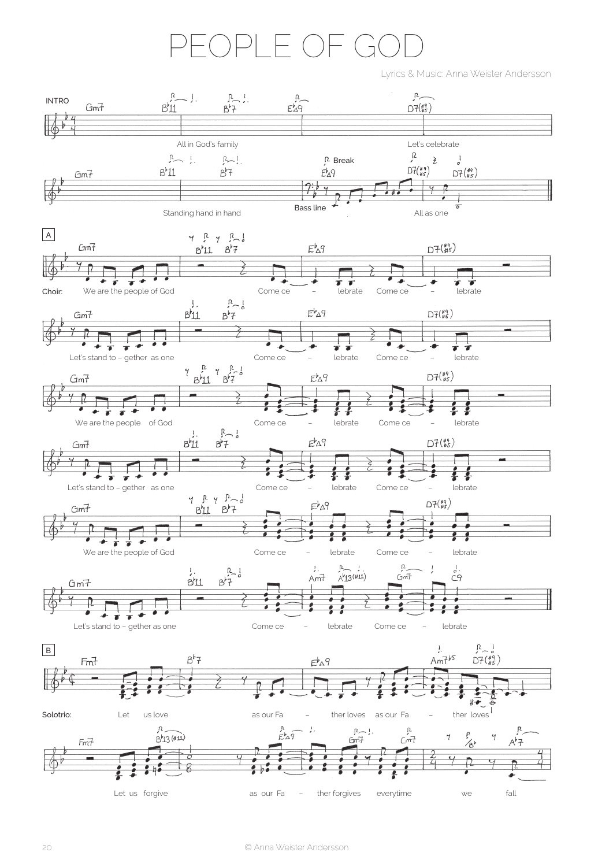## FOPLE OF GO

Lyrics & Music: Anna Weister Andersson